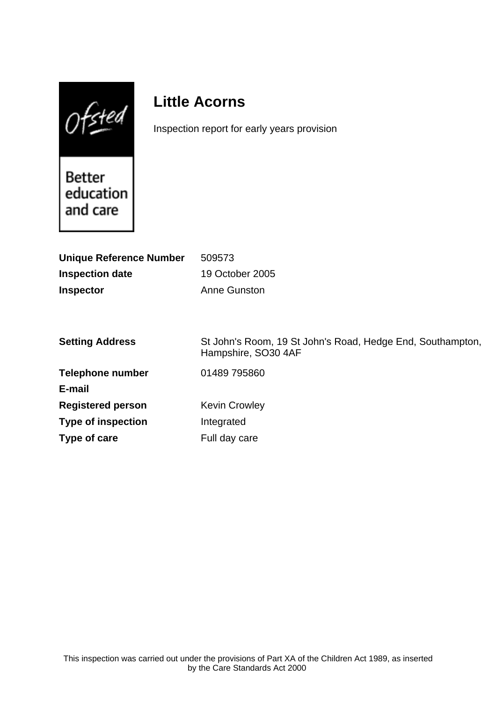$0$ fsted

# **Little Acorns**

Inspection report for early years provision

Better<br>education and care

| <b>Unique Reference Number</b> | 509573                                                                            |
|--------------------------------|-----------------------------------------------------------------------------------|
| <b>Inspection date</b>         | 19 October 2005                                                                   |
| <b>Inspector</b>               | Anne Gunston                                                                      |
|                                |                                                                                   |
|                                |                                                                                   |
| <b>Setting Address</b>         | St John's Room, 19 St John's Road, Hedge End, Southampton,<br>Hampshire, SO30 4AF |
| <b>Telephone number</b>        | 01489 795860                                                                      |
| E-mail                         |                                                                                   |
| <b>Registered person</b>       | <b>Kevin Crowley</b>                                                              |
| <b>Type of inspection</b>      | Integrated                                                                        |
| Type of care                   | Full day care                                                                     |
|                                |                                                                                   |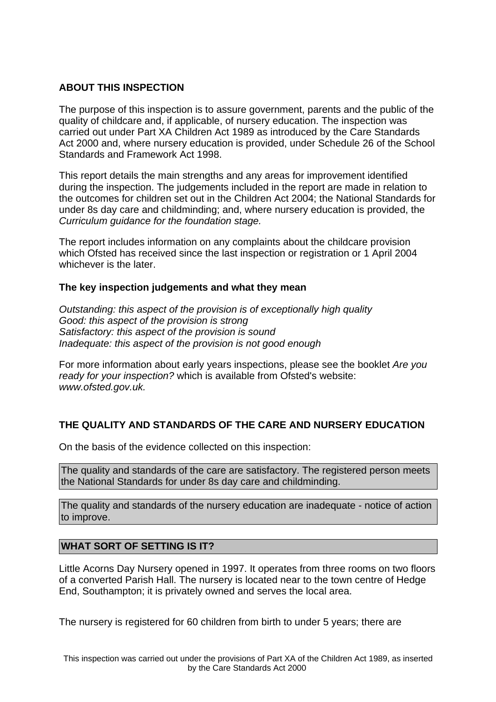## **ABOUT THIS INSPECTION**

The purpose of this inspection is to assure government, parents and the public of the quality of childcare and, if applicable, of nursery education. The inspection was carried out under Part XA Children Act 1989 as introduced by the Care Standards Act 2000 and, where nursery education is provided, under Schedule 26 of the School Standards and Framework Act 1998.

This report details the main strengths and any areas for improvement identified during the inspection. The judgements included in the report are made in relation to the outcomes for children set out in the Children Act 2004; the National Standards for under 8s day care and childminding; and, where nursery education is provided, the Curriculum guidance for the foundation stage.

The report includes information on any complaints about the childcare provision which Ofsted has received since the last inspection or registration or 1 April 2004 whichever is the later.

#### **The key inspection judgements and what they mean**

Outstanding: this aspect of the provision is of exceptionally high quality Good: this aspect of the provision is strong Satisfactory: this aspect of the provision is sound Inadequate: this aspect of the provision is not good enough

For more information about early years inspections, please see the booklet Are you ready for your inspection? which is available from Ofsted's website: www.ofsted.gov.uk.

# **THE QUALITY AND STANDARDS OF THE CARE AND NURSERY EDUCATION**

On the basis of the evidence collected on this inspection:

The quality and standards of the care are satisfactory. The registered person meets the National Standards for under 8s day care and childminding.

The quality and standards of the nursery education are inadequate - notice of action to improve.

#### **WHAT SORT OF SETTING IS IT?**

Little Acorns Day Nursery opened in 1997. It operates from three rooms on two floors of a converted Parish Hall. The nursery is located near to the town centre of Hedge End, Southampton; it is privately owned and serves the local area.

The nursery is registered for 60 children from birth to under 5 years; there are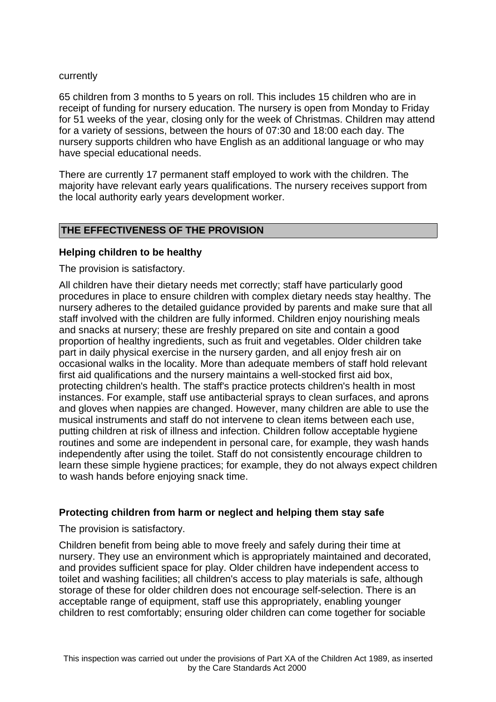#### currently

65 children from 3 months to 5 years on roll. This includes 15 children who are in receipt of funding for nursery education. The nursery is open from Monday to Friday for 51 weeks of the year, closing only for the week of Christmas. Children may attend for a variety of sessions, between the hours of 07:30 and 18:00 each day. The nursery supports children who have English as an additional language or who may have special educational needs.

There are currently 17 permanent staff employed to work with the children. The majority have relevant early years qualifications. The nursery receives support from the local authority early years development worker.

## **THE EFFECTIVENESS OF THE PROVISION**

#### **Helping children to be healthy**

The provision is satisfactory.

All children have their dietary needs met correctly; staff have particularly good procedures in place to ensure children with complex dietary needs stay healthy. The nursery adheres to the detailed guidance provided by parents and make sure that all staff involved with the children are fully informed. Children enjoy nourishing meals and snacks at nursery; these are freshly prepared on site and contain a good proportion of healthy ingredients, such as fruit and vegetables. Older children take part in daily physical exercise in the nursery garden, and all enjoy fresh air on occasional walks in the locality. More than adequate members of staff hold relevant first aid qualifications and the nursery maintains a well-stocked first aid box, protecting children's health. The staff's practice protects children's health in most instances. For example, staff use antibacterial sprays to clean surfaces, and aprons and gloves when nappies are changed. However, many children are able to use the musical instruments and staff do not intervene to clean items between each use, putting children at risk of illness and infection. Children follow acceptable hygiene routines and some are independent in personal care, for example, they wash hands independently after using the toilet. Staff do not consistently encourage children to learn these simple hygiene practices; for example, they do not always expect children to wash hands before enjoying snack time.

#### **Protecting children from harm or neglect and helping them stay safe**

The provision is satisfactory.

Children benefit from being able to move freely and safely during their time at nursery. They use an environment which is appropriately maintained and decorated, and provides sufficient space for play. Older children have independent access to toilet and washing facilities; all children's access to play materials is safe, although storage of these for older children does not encourage self-selection. There is an acceptable range of equipment, staff use this appropriately, enabling younger children to rest comfortably; ensuring older children can come together for sociable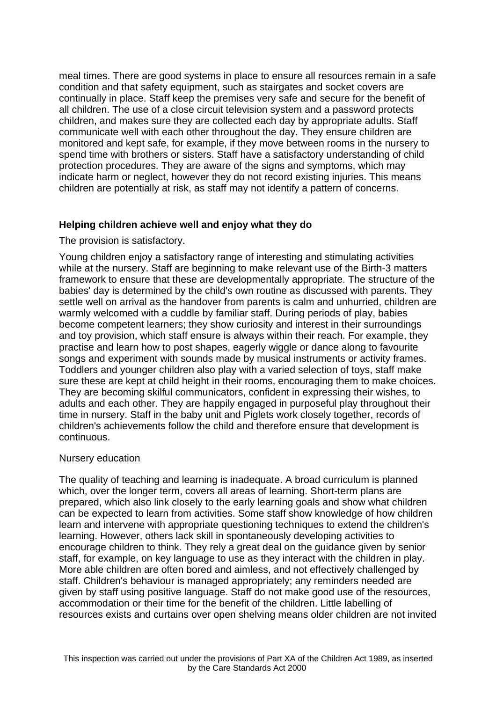meal times. There are good systems in place to ensure all resources remain in a safe condition and that safety equipment, such as stairgates and socket covers are continually in place. Staff keep the premises very safe and secure for the benefit of all children. The use of a close circuit television system and a password protects children, and makes sure they are collected each day by appropriate adults. Staff communicate well with each other throughout the day. They ensure children are monitored and kept safe, for example, if they move between rooms in the nursery to spend time with brothers or sisters. Staff have a satisfactory understanding of child protection procedures. They are aware of the signs and symptoms, which may indicate harm or neglect, however they do not record existing injuries. This means children are potentially at risk, as staff may not identify a pattern of concerns.

#### **Helping children achieve well and enjoy what they do**

The provision is satisfactory.

Young children enjoy a satisfactory range of interesting and stimulating activities while at the nursery. Staff are beginning to make relevant use of the Birth-3 matters framework to ensure that these are developmentally appropriate. The structure of the babies' day is determined by the child's own routine as discussed with parents. They settle well on arrival as the handover from parents is calm and unhurried, children are warmly welcomed with a cuddle by familiar staff. During periods of play, babies become competent learners; they show curiosity and interest in their surroundings and toy provision, which staff ensure is always within their reach. For example, they practise and learn how to post shapes, eagerly wiggle or dance along to favourite songs and experiment with sounds made by musical instruments or activity frames. Toddlers and younger children also play with a varied selection of toys, staff make sure these are kept at child height in their rooms, encouraging them to make choices. They are becoming skilful communicators, confident in expressing their wishes, to adults and each other. They are happily engaged in purposeful play throughout their time in nursery. Staff in the baby unit and Piglets work closely together, records of children's achievements follow the child and therefore ensure that development is continuous.

#### Nursery education

The quality of teaching and learning is inadequate. A broad curriculum is planned which, over the longer term, covers all areas of learning. Short-term plans are prepared, which also link closely to the early learning goals and show what children can be expected to learn from activities. Some staff show knowledge of how children learn and intervene with appropriate questioning techniques to extend the children's learning. However, others lack skill in spontaneously developing activities to encourage children to think. They rely a great deal on the guidance given by senior staff, for example, on key language to use as they interact with the children in play. More able children are often bored and aimless, and not effectively challenged by staff. Children's behaviour is managed appropriately; any reminders needed are given by staff using positive language. Staff do not make good use of the resources, accommodation or their time for the benefit of the children. Little labelling of resources exists and curtains over open shelving means older children are not invited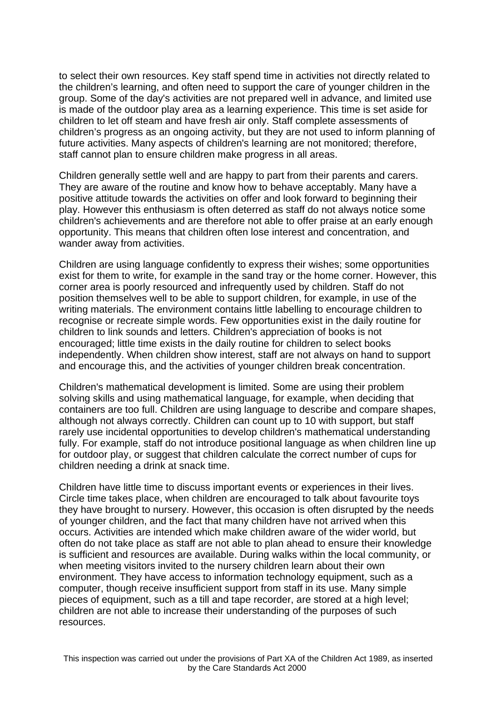to select their own resources. Key staff spend time in activities not directly related to the children's learning, and often need to support the care of younger children in the group. Some of the day's activities are not prepared well in advance, and limited use is made of the outdoor play area as a learning experience. This time is set aside for children to let off steam and have fresh air only. Staff complete assessments of children's progress as an ongoing activity, but they are not used to inform planning of future activities. Many aspects of children's learning are not monitored; therefore, staff cannot plan to ensure children make progress in all areas.

Children generally settle well and are happy to part from their parents and carers. They are aware of the routine and know how to behave acceptably. Many have a positive attitude towards the activities on offer and look forward to beginning their play. However this enthusiasm is often deterred as staff do not always notice some children's achievements and are therefore not able to offer praise at an early enough opportunity. This means that children often lose interest and concentration, and wander away from activities.

Children are using language confidently to express their wishes; some opportunities exist for them to write, for example in the sand tray or the home corner. However, this corner area is poorly resourced and infrequently used by children. Staff do not position themselves well to be able to support children, for example, in use of the writing materials. The environment contains little labelling to encourage children to recognise or recreate simple words. Few opportunities exist in the daily routine for children to link sounds and letters. Children's appreciation of books is not encouraged; little time exists in the daily routine for children to select books independently. When children show interest, staff are not always on hand to support and encourage this, and the activities of younger children break concentration.

Children's mathematical development is limited. Some are using their problem solving skills and using mathematical language, for example, when deciding that containers are too full. Children are using language to describe and compare shapes, although not always correctly. Children can count up to 10 with support, but staff rarely use incidental opportunities to develop children's mathematical understanding fully. For example, staff do not introduce positional language as when children line up for outdoor play, or suggest that children calculate the correct number of cups for children needing a drink at snack time.

Children have little time to discuss important events or experiences in their lives. Circle time takes place, when children are encouraged to talk about favourite toys they have brought to nursery. However, this occasion is often disrupted by the needs of younger children, and the fact that many children have not arrived when this occurs. Activities are intended which make children aware of the wider world, but often do not take place as staff are not able to plan ahead to ensure their knowledge is sufficient and resources are available. During walks within the local community, or when meeting visitors invited to the nursery children learn about their own environment. They have access to information technology equipment, such as a computer, though receive insufficient support from staff in its use. Many simple pieces of equipment, such as a till and tape recorder, are stored at a high level; children are not able to increase their understanding of the purposes of such resources.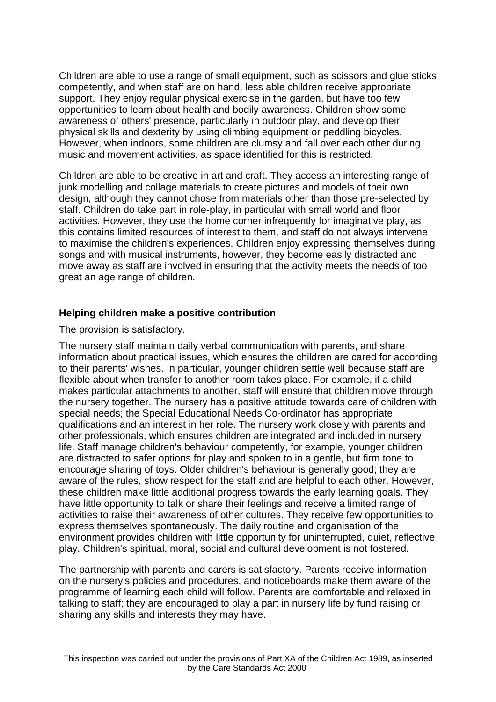Children are able to use a range of small equipment, such as scissors and glue sticks competently, and when staff are on hand, less able children receive appropriate support. They enjoy regular physical exercise in the garden, but have too few opportunities to learn about health and bodily awareness. Children show some awareness of others' presence, particularly in outdoor play, and develop their physical skills and dexterity by using climbing equipment or peddling bicycles. However, when indoors, some children are clumsy and fall over each other during music and movement activities, as space identified for this is restricted.

Children are able to be creative in art and craft. They access an interesting range of junk modelling and collage materials to create pictures and models of their own design, although they cannot chose from materials other than those pre-selected by staff. Children do take part in role-play, in particular with small world and floor activities. However, they use the home corner infrequently for imaginative play, as this contains limited resources of interest to them, and staff do not always intervene to maximise the children's experiences. Children enjoy expressing themselves during songs and with musical instruments, however, they become easily distracted and move away as staff are involved in ensuring that the activity meets the needs of too great an age range of children.

#### **Helping children make a positive contribution**

The provision is satisfactory.

The nursery staff maintain daily verbal communication with parents, and share information about practical issues, which ensures the children are cared for according to their parents' wishes. In particular, younger children settle well because staff are flexible about when transfer to another room takes place. For example, if a child makes particular attachments to another, staff will ensure that children move through the nursery together. The nursery has a positive attitude towards care of children with special needs; the Special Educational Needs Co-ordinator has appropriate qualifications and an interest in her role. The nursery work closely with parents and other professionals, which ensures children are integrated and included in nursery life. Staff manage children's behaviour competently, for example, younger children are distracted to safer options for play and spoken to in a gentle, but firm tone to encourage sharing of toys. Older children's behaviour is generally good; they are aware of the rules, show respect for the staff and are helpful to each other. However, these children make little additional progress towards the early learning goals. They have little opportunity to talk or share their feelings and receive a limited range of activities to raise their awareness of other cultures. They receive few opportunities to express themselves spontaneously. The daily routine and organisation of the environment provides children with little opportunity for uninterrupted, quiet, reflective play. Children's spiritual, moral, social and cultural development is not fostered.

The partnership with parents and carers is satisfactory. Parents receive information on the nursery's policies and procedures, and noticeboards make them aware of the programme of learning each child will follow. Parents are comfortable and relaxed in talking to staff; they are encouraged to play a part in nursery life by fund raising or sharing any skills and interests they may have.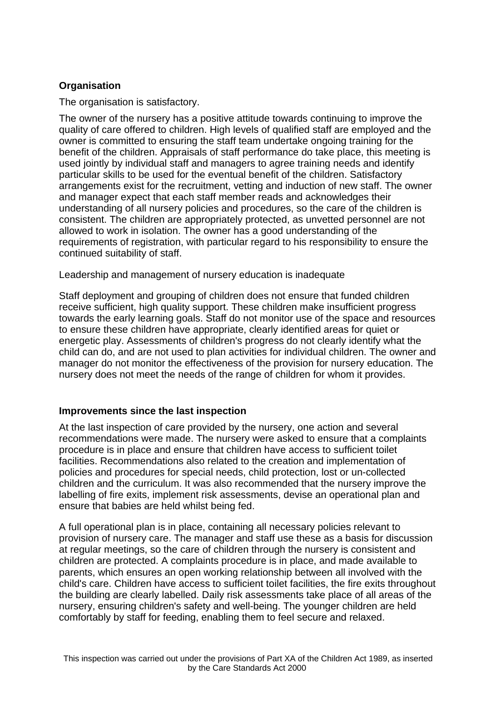# **Organisation**

The organisation is satisfactory.

The owner of the nursery has a positive attitude towards continuing to improve the quality of care offered to children. High levels of qualified staff are employed and the owner is committed to ensuring the staff team undertake ongoing training for the benefit of the children. Appraisals of staff performance do take place, this meeting is used jointly by individual staff and managers to agree training needs and identify particular skills to be used for the eventual benefit of the children. Satisfactory arrangements exist for the recruitment, vetting and induction of new staff. The owner and manager expect that each staff member reads and acknowledges their understanding of all nursery policies and procedures, so the care of the children is consistent. The children are appropriately protected, as unvetted personnel are not allowed to work in isolation. The owner has a good understanding of the requirements of registration, with particular regard to his responsibility to ensure the continued suitability of staff.

Leadership and management of nursery education is inadequate

Staff deployment and grouping of children does not ensure that funded children receive sufficient, high quality support. These children make insufficient progress towards the early learning goals. Staff do not monitor use of the space and resources to ensure these children have appropriate, clearly identified areas for quiet or energetic play. Assessments of children's progress do not clearly identify what the child can do, and are not used to plan activities for individual children. The owner and manager do not monitor the effectiveness of the provision for nursery education. The nursery does not meet the needs of the range of children for whom it provides.

#### **Improvements since the last inspection**

At the last inspection of care provided by the nursery, one action and several recommendations were made. The nursery were asked to ensure that a complaints procedure is in place and ensure that children have access to sufficient toilet facilities. Recommendations also related to the creation and implementation of policies and procedures for special needs, child protection, lost or un-collected children and the curriculum. It was also recommended that the nursery improve the labelling of fire exits, implement risk assessments, devise an operational plan and ensure that babies are held whilst being fed.

A full operational plan is in place, containing all necessary policies relevant to provision of nursery care. The manager and staff use these as a basis for discussion at regular meetings, so the care of children through the nursery is consistent and children are protected. A complaints procedure is in place, and made available to parents, which ensures an open working relationship between all involved with the child's care. Children have access to sufficient toilet facilities, the fire exits throughout the building are clearly labelled. Daily risk assessments take place of all areas of the nursery, ensuring children's safety and well-being. The younger children are held comfortably by staff for feeding, enabling them to feel secure and relaxed.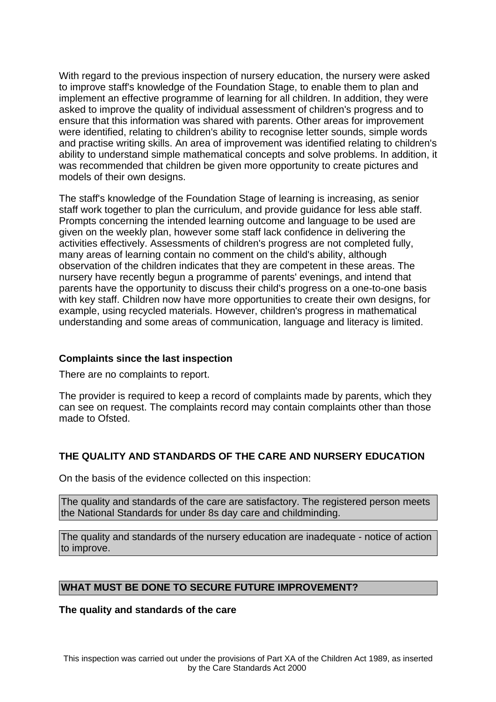With regard to the previous inspection of nursery education, the nursery were asked to improve staff's knowledge of the Foundation Stage, to enable them to plan and implement an effective programme of learning for all children. In addition, they were asked to improve the quality of individual assessment of children's progress and to ensure that this information was shared with parents. Other areas for improvement were identified, relating to children's ability to recognise letter sounds, simple words and practise writing skills. An area of improvement was identified relating to children's ability to understand simple mathematical concepts and solve problems. In addition, it was recommended that children be given more opportunity to create pictures and models of their own designs.

The staff's knowledge of the Foundation Stage of learning is increasing, as senior staff work together to plan the curriculum, and provide guidance for less able staff. Prompts concerning the intended learning outcome and language to be used are given on the weekly plan, however some staff lack confidence in delivering the activities effectively. Assessments of children's progress are not completed fully, many areas of learning contain no comment on the child's ability, although observation of the children indicates that they are competent in these areas. The nursery have recently begun a programme of parents' evenings, and intend that parents have the opportunity to discuss their child's progress on a one-to-one basis with key staff. Children now have more opportunities to create their own designs, for example, using recycled materials. However, children's progress in mathematical understanding and some areas of communication, language and literacy is limited.

#### **Complaints since the last inspection**

There are no complaints to report.

The provider is required to keep a record of complaints made by parents, which they can see on request. The complaints record may contain complaints other than those made to Ofsted.

# **THE QUALITY AND STANDARDS OF THE CARE AND NURSERY EDUCATION**

On the basis of the evidence collected on this inspection:

The quality and standards of the care are satisfactory. The registered person meets the National Standards for under 8s day care and childminding.

The quality and standards of the nursery education are inadequate - notice of action to improve.

# **WHAT MUST BE DONE TO SECURE FUTURE IMPROVEMENT?**

**The quality and standards of the care**